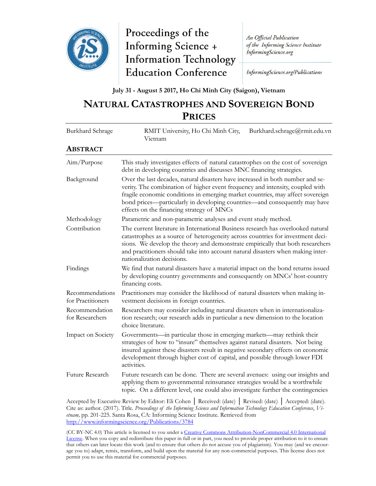

Proceedings of the **Informing Science + Information Technology Education Conference** 

An Official Publication of the Informing Science Institute InformingScience.org

InformingScience.org/Publications

**July 31 - August 5 2017, Ho Chi Minh City (Saigon), Vietnam**

# **NATURAL CATASTROPHES AND SOVEREIGN BOND PRICES**

| Burkhard Schrage                     | RMIT University, Ho Chi Minh City,<br>Burkhard.schrage@rmit.edu.vn<br>Vietnam                                                                                                                                                                                                                                                                                                |
|--------------------------------------|------------------------------------------------------------------------------------------------------------------------------------------------------------------------------------------------------------------------------------------------------------------------------------------------------------------------------------------------------------------------------|
| <b>ABSTRACT</b>                      |                                                                                                                                                                                                                                                                                                                                                                              |
| Aim/Purpose                          | This study investigates effects of natural catastrophes on the cost of sovereign<br>debt in developing countries and discusses MNC financing strategies.                                                                                                                                                                                                                     |
| Background                           | Over the last decades, natural disasters have increased in both number and se-<br>verity. The combination of higher event frequency and intensity, coupled with<br>fragile economic conditions in emerging market countries, may affect sovereign<br>bond prices—particularly in developing countries—and consequently may have<br>effects on the financing strategy of MNCs |
| Methodology                          | Parametric and non-parametric analyses and event study method.                                                                                                                                                                                                                                                                                                               |
| Contribution                         | The current literature in International Business research has overlooked natural<br>catastrophes as a source of heterogeneity across countries for investment deci-<br>sions. We develop the theory and demonstrate empirically that both researchers<br>and practitioners should take into account natural disasters when making inter-<br>nationalization decisions.       |
| Findings                             | We find that natural disasters have a material impact on the bond returns issued<br>by developing country governments and consequently on MNCs' host-country<br>financing costs.                                                                                                                                                                                             |
| Recommendations<br>for Practitioners | Practitioners may consider the likelihood of natural disasters when making in-<br>vestment decisions in foreign countries.                                                                                                                                                                                                                                                   |
| Recommendation<br>for Researchers    | Researchers may consider including natural disasters when in internationaliza-<br>tion research; our research adds in particular a new dimension to the location<br>choice literature.                                                                                                                                                                                       |
| Impact on Society                    | Governments—in particular those in emerging markets—may rethink their<br>strategies of how to "insure" themselves against natural disasters. Not being<br>insured against these disasters result in negative secondary effects on economic<br>development through higher cost of capital, and possible through lower FDI<br>activities.                                      |
| Future Research                      | Future research can be done. There are several avenues: using our insights and<br>applying them to governmental reinsurance strategies would be a worthwhile<br>topic. On a different level, one could also investigate further the contingencies                                                                                                                            |
|                                      | $\mathbf{u}$ , $\mathbf{u}$ , $\mathbf{v}$ , $\mathbf{v}$ , $\mathbf{v}$ , $\mathbf{v}$ , $\mathbf{v}$ , $\mathbf{v}$ , $\mathbf{v}$ , $\mathbf{v}$ , $\mathbf{v}$ , $\mathbf{v}$ , $\mathbf{v}$ , $\mathbf{v}$ , $\mathbf{v}$ , $\mathbf{v}$ , $\mathbf{v}$ , $\mathbf{v}$ , $\mathbf{v}$ , $\mathbf{v}$ , $\mathbf{v}$ , $\mathbf{v}$ ,                                    |

Accepted by Executive Review by Editor: Eli Cohen │ Received: (date) │ Revised: (date) │ Accepted: (date). Cite as: author. (2017). Title. *Proceedings of the Informing Science and Information Technology Education Conference*, *Vietnam,* pp. 201-225. Santa Rosa, CA: Informing Science Institute. Retrieved from <http://www.informingscience.org/Publications/3784>

(CC BY-NC 4.0) This article is licensed to you under a Creative Commons Attribution-[NonCommercial 4.0 International](https://creativecommons.org/licenses/by-nc/4.0/)  [License.](https://creativecommons.org/licenses/by-nc/4.0/) When you copy and redistribute this paper in full or in part, you need to provide proper attribution to it to ensure that others can later locate this work (and to ensure that others do not accuse you of plagiarism). You may (and we encourage you to) adapt, remix, transform, and build upon the material for any non-commercial purposes. This license does not permit you to use this material for commercial purposes.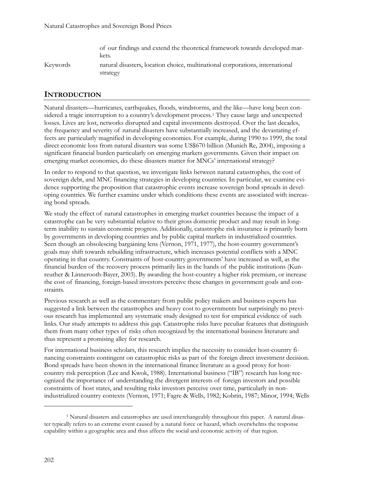of our findings and extend the theoretical framework towards developed markets.

Keywords natural disasters, location choice, multinational corporations, international strategy

# **INTRODUCTION**

Natural disasters—hurricanes, earthquakes, floods, windstorms, and the like—have long been considered a tragic interruption to a country's development process.[1](#page-1-0) They cause large and unexpected losses. Lives are lost, networks disrupted and capital investments destroyed. Over the last decades, the frequency and severity of natural disasters have substantially increased, and the devastating effects are particularly magnified in developing economies. For example, during 1990 to 1999, the total direct economic loss from natural disasters was some US\$670 billion (Munich Re, 2004), imposing a significant financial burden particularly on emerging markets governments. Given their impact on emerging market economies, do these disasters matter for MNCs' international strategy?

In order to respond to that question, we investigate links between natural catastrophes, the cost of sovereign debt, and MNC financing strategies in developing countries. In particular, we examine evidence supporting the proposition that catastrophic events increase sovereign bond spreads in developing countries. We further examine under which conditions these events are associated with increasing bond spreads.

We study the effect of natural catastrophes in emerging market countries because the impact of a catastrophe can be very substantial relative to their gross domestic product and may result in longterm inability to sustain economic progress. Additionally, catastrophe risk insurance is primarily born by governments in developing countries and by public capital markets in industrialized countries. Seen though an obsolescing bargaining lens (Vernon, 1971, 1977), the host-country government's goals may shift towards rebuilding infrastructure, which increases potential conflicts with a MNC operating in that country. Constraints of host-country governments' have increased as well, as the financial burden of the recovery process primarily lies in the hands of the public institutions (Kunreuther & Linnerooth-Bayer, 2003). By awarding the host-country a higher risk premium, or increase the cost of financing, foreign-based investors perceive these changes in government goals and constraints.

Previous research as well as the commentary from public policy makers and business experts has suggested a link between the catastrophes and heavy cost to governments but surprisingly no previous research has implemented any systematic study designed to test for empirical evidence of such links. Our study attempts to address this gap. Catastrophe risks have peculiar features that distinguish them from many other types of risks often recognized by the international business literature and thus represent a promising alley for research.

For international business scholars, this research implies the necessity to consider host-country financing constraints contingent on catastrophic risks as part of the foreign direct investment decision. Bond spreads have been shown in the international finance literature as a good proxy for hostcountry risk perception (Lee and Kwok, 1988). International business ("IB") research has long recognized the importance of understanding the divergent interests of foreign investors and possible constraints of host states, and resulting risks investors perceive over time, particularly in nonindustrialized country contexts (Vernon, 1971; Fagre & Wells, 1982; Kobrin, 1987; Minor, 1994; Wells

<span id="page-1-0"></span><sup>1</sup> Natural disasters and catastrophes are used interchangeably throughout this paper. A natural disaster typically refers to an extreme event caused by a natural force or hazard, which overwhelms the response capability within a geographic area and thus affects the social and economic activity of that region.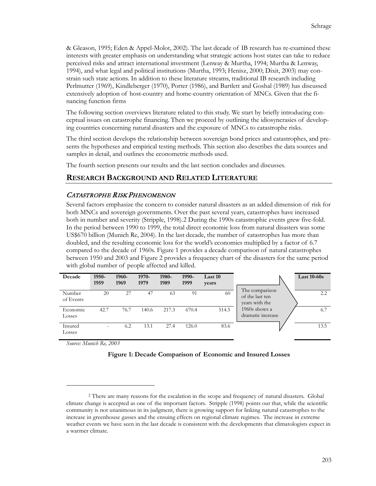& Gleason, 1995; Eden & Appel-Molot, 2002). The last decade of IB research has re-examined these interests with greater emphasis on understanding what strategic actions host states can take to reduce perceived risks and attract international investment (Lenway & Murtha, 1994; Murtha & Lenway, 1994), and what legal and political institutions (Murtha, 1993; Henisz, 2000; Dixit, 2003) may constrain such state actions. In addition to these literature streams, traditional IB research including Perlmutter (1969), Kindleberger (1970), Porter (1986), and Bartlett and Goshal (1989) has discussed extensively adoption of host-country and home-country orientation of MNCs. Given that the financing function firms

The following section overviews literature related to this study. We start by briefly introducing conceptual issues on catastrophe financing. Then we proceed by outlining the idiosyncrasies of developing countries concerning natural disasters and the exposure of MNCs to catastrophe risks.

The third section develops the relationship between sovereign bond prices and catastrophes, and presents the hypotheses and empirical testing methods. This section also describes the data sources and samples in detail, and outlines the econometric methods used.

The fourth section presents our results and the last section concludes and discusses.

# **RESEARCH BACKGROUND AND RELATED LITERATURE**

### CATASTROPHE RISK PHENOMENON

Several factors emphasize the concern to consider natural disasters as an added dimension of risk for both MNCs and sovereign governments. Over the past several years, catastrophes have increased both in number and severity (Stripple, 1998).[2](#page-2-0) During the 1990s catastrophic events grew five-fold. In the period between 1990 to 1999, the total direct economic loss from natural disasters was some US\$670 billion (Munich Re, 2004). In the last decade, the number of catastrophes has more than doubled, and the resulting economic loss for the world's economies multiplied by a factor of 6.7 compared to the decade of 1960s. Figure 1 provides a decade comparison of natural catastrophes between 1950 and 2003 and Figure 2 provides a frequency chart of the disasters for the same period with global number of people affected and killed.

| Decade              | 1950-<br>1959            | 1960-<br>1969 | 1970-<br>1979 | 1980-<br>1989 | 1990-<br>1999 | Last 10<br>years |                                                     | Last $10-60s$ |
|---------------------|--------------------------|---------------|---------------|---------------|---------------|------------------|-----------------------------------------------------|---------------|
| Number<br>of Events | 20                       | 27            | 47            | 63            | 91            | 60               | The comparison<br>of the last ten<br>years with the | 2.2           |
| Economic<br>Losses  | 42.7                     | 76.7          | 140.6         | 217.3         | 670.4         | 514.5            | 1960s shows a<br>dramatic increase                  | 6.7           |
| Insured<br>Losses   | $\overline{\phantom{a}}$ | 6.2           | 13.1          | 27.4          | 126.0         | 83.6             |                                                     | 13.5          |

*Source: Munich Re, 2003*



<span id="page-2-0"></span><sup>2</sup> There are many reasons for the escalation in the scope and frequency of natural disasters. Global climate change is accepted as one of the important factors. Stripple (1998) points out that, while the scientific community is not unanimous in its judgment, there is growing support for linking natural catastrophes to the increase in greenhouse gasses and the ensuing effects on regional climate regimes. The increase in extreme weather events we have seen in the last decade is consistent with the developments that climatologists expect in a warmer climate.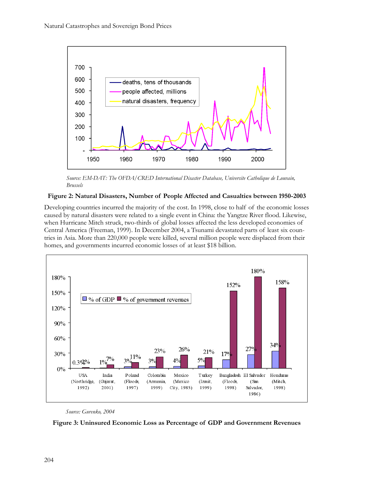

*Source: EM-DAT: The OFDA/CRED International Disaster Database, Universite Catholique de Louvain, Brussels*

# **Figure 2: Natural Disasters, Number of People Affected and Casualties between 1950-2003**

Developing countries incurred the majority of the cost. In 1998, close to half of the economic losses caused by natural disasters were related to a single event in China: the Yangtze River flood. Likewise, when Hurricane Mitch struck, two-thirds of global losses affected the less developed economies of Central America (Freeman, 1999). In December 2004, a Tsunami devastated parts of least six countries in Asia. More than 220,000 people were killed, several million people were displaced from their homes, and governments incurred economic losses of at least \$18 billion.



#### *Source: Gurenko, 2004*

**Figure 3: Uninsured Economic Loss as Percentage of GDP and Government Revenues**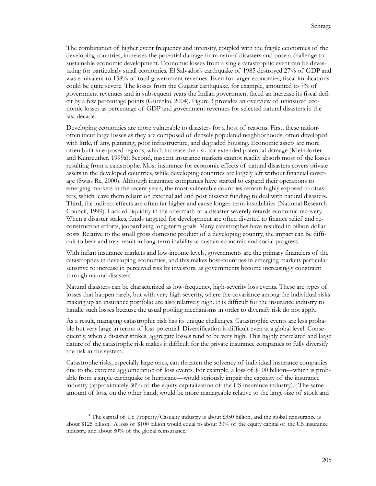The combination of higher event frequency and intensity, coupled with the fragile economies of the developing countries, increases the potential damage from natural disasters and pose a challenge to sustainable economic development. Economic losses from a single catastrophic event can be devastating for particularly small economies. El Salvador's earthquake of 1985 destroyed 27% of GDP and was equivalent to 158% of total government revenues. Even for larger economies, fiscal implications could be quite severe. The losses from the Gujarat earthquake, for example, amounted to 7% of government revenues and in subsequent years the Indian government faced an increase its fiscal deficit by a few percentage points (Gurenko, 2004). Figure 3 provides an overview of uninsured economic losses as percentage of GDP and government revenues for selected natural disasters in the last decade.

Developing economies are more vulnerable to disasters for a host of reasons. First, these nations often incur large losses as they are composed of densely populated neighborhoods, often developed with little, if any, planning, poor infrastructure, and degraded housing. Economic assets are more often built in exposed regions, which increase the risk for extended potential damage (Kleindorfer and Kunreuther, 1999a). Second, nascent insurance markets cannot readily absorb most of the losses resulting from a catastrophe. Most insurance for economic effects of natural disasters covers private assets in the developed countries, while developing countries are largely left without financial coverage (Swiss Re, 2000). Although insurance companies have started to expand their operations to emerging markets in the recent years, the most vulnerable countries remain highly exposed to disasters, which leave them reliant on external aid and post disaster funding to deal with natural disasters. Third, the indirect effects are often far higher and cause longer-term instabilities (National Research Council, 1999). Lack of liquidity in the aftermath of a disaster severely retards economic recovery. When a disaster strikes, funds targeted for development are often diverted to finance relief and reconstruction efforts, jeopardizing long-term goals. Many catastrophes have resulted in billion dollar costs. Relative to the small gross domestic product of a developing country, the impact can be difficult to bear and may result in long-term inability to sustain economic and social progress.

With infant insurance markets and low-income levels, governments are the primary financiers of the catastrophes in developing economies, and this makes host-countries in emerging markets particular sensitive to increase in perceived risk by investors, as governments become increasingly constraint through natural disasters.

Natural disasters can be characterized as low-frequency, high-severity loss events. These are types of losses that happen rarely, but with very high severity, where the covariance among the individual risks making up an insurance portfolio are also relatively high. It is difficult for the insurance industry to handle such losses because the usual pooling mechanisms in order to diversify risk do not apply.

As a result, managing catastrophic risk has its unique challenges. Catastrophic events are less probable but very large in terms of loss potential. Diversification is difficult even at a global level. Consequently, when a disaster strikes, aggregate losses tend to be very high. This highly correlated and large nature of the catastrophe risk makes it difficult for the private insurance companies to fully diversify the risk in the system.

Catastrophe risks, especially large ones, can threaten the solvency of individual insurance companies due to the extreme agglomeration of loss events. For example, a loss of \$100 billion—which is probable from a single earthquake or hurricane—would seriously impair the capacity of the insurance industry (approximately  $30\%$  $30\%$  of the equity capitalization of the US insurance industry).<sup>3</sup> The same amount of loss, on the other hand, would be more manageable relative to the large size of stock and

<span id="page-4-0"></span><sup>&</sup>lt;sup>3</sup> The capital of US Property/Casualty industry is about \$350 billion, and the global reinsurance is about \$125 billion. A loss of \$100 billion would equal to about 30% of the equity capital of the US insurance industry, and about 80% of the global reinsurance.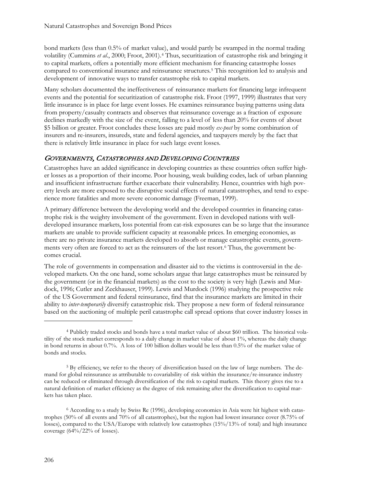bond markets (less than 0.5% of market value), and would partly be swamped in the normal trading volatility (Cummins *et al*., 2000; Froot, 2001).[4](#page-5-0) Thus, securitization of catastrophe risk and bringing it to capital markets, offers a potentially more efficient mechanism for financing catastrophe losses compared to conventional insurance and reinsurance structures.[5](#page-5-1) This recognition led to analysis and development of innovative ways to transfer catastrophe risk to capital markets.

Many scholars documented the ineffectiveness of reinsurance markets for financing large infrequent events and the potential for securitization of catastrophe risk. Froot (1997, 1999) illustrates that very little insurance is in place for large event losses. He examines reinsurance buying patterns using data from property/casualty contracts and observes that reinsurance coverage as a fraction of exposure declines markedly with the size of the event, falling to a level of less than 20% for events of about \$5 billion or greater. Froot concludes these losses are paid mostly *ex-post* by some combination of insurers and re-insurers, insureds, state and federal agencies, and taxpayers merely by the fact that there is relatively little insurance in place for such large event losses.

# GOVERNMENTS, CATASTROPHES AND DEVELOPING COUNTRIES

Catastrophes have an added significance in developing countries as these countries often suffer higher losses as a proportion of their income. Poor housing, weak building codes, lack of urban planning and insufficient infrastructure further exacerbate their vulnerability. Hence, countries with high poverty levels are more exposed to the disruptive social effects of natural catastrophes, and tend to experience more fatalities and more severe economic damage (Freeman, 1999).

A primary difference between the developing world and the developed countries in financing catastrophe risk is the weighty involvement of the government. Even in developed nations with welldeveloped insurance markets, loss potential from cat-risk exposures can be so large that the insurance markets are unable to provide sufficient capacity at reasonable prices. In emerging economies, as there are no private insurance markets developed to absorb or manage catastrophic events, govern-ments very often are forced to act as the reinsurers of the last resort.<sup>[6](#page-5-2)</sup> Thus, the government becomes crucial.

The role of governments in compensation and disaster aid to the victims is controversial in the developed markets. On the one hand, some scholars argue that large catastrophes must be reinsured by the government (or in the financial markets) as the cost to the society is very high (Lewis and Murdock, 1996; Cutler and Zeckhauser, 1999). Lewis and Murdock (1996) studying the prospective role of the US Government and federal reinsurance, find that the insurance markets are limited in their ability to *inter-temporarily* diversify catastrophic risk. They propose a new form of federal reinsurance based on the auctioning of multiple peril catastrophe call spread options that cover industry losses in

<span id="page-5-0"></span><sup>4</sup> Publicly traded stocks and bonds have a total market value of about \$60 trillion. The historical volatility of the stock market corresponds to a daily change in market value of about 1%, whereas the daily change in bond returns in about 0.7%. A loss of 100 billion dollars would be less than 0.5% of the market value of bonds and stocks.

<span id="page-5-1"></span><sup>5</sup> By efficiency, we refer to the theory of diversification based on the law of large numbers. The demand for global reinsurance as attributable to covariability of risk within the insurance/re-insurance industry can be reduced or eliminated through diversification of the risk to capital markets. This theory gives rise to a natural definition of market efficiency as the degree of risk remaining after the diversification to capital markets has taken place.

<span id="page-5-2"></span><sup>6</sup> According to a study by Swiss Re (1996), developing economies in Asia were hit highest with catastrophes (50% of all events and 70% of all catastrophes), but the region had lowest insurance cover (8.75% of losses), compared to the USA/Europe with relatively low catastrophes (15%/13% of total) and high insurance coverage (64%/22% of losses).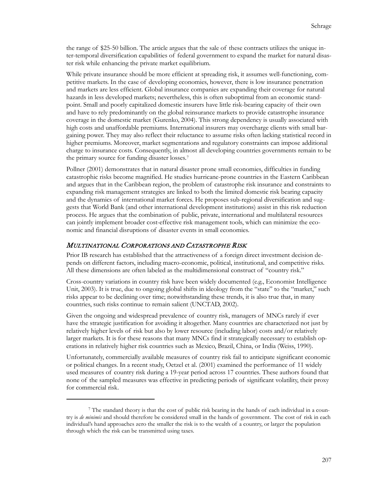the range of \$25-50 billion. The article argues that the sale of these contracts utilizes the unique inter-temporal diversification capabilities of federal government to expand the market for natural disaster risk while enhancing the private market equilibrium.

While private insurance should be more efficient at spreading risk, it assumes well-functioning, competitive markets. In the case of developing economies, however, there is low insurance penetration and markets are less efficient. Global insurance companies are expanding their coverage for natural hazards in less developed markets; nevertheless, this is often suboptimal from an economic standpoint. Small and poorly capitalized domestic insurers have little risk-bearing capacity of their own and have to rely predominantly on the global reinsurance markets to provide catastrophe insurance coverage in the domestic market (Gurenko, 2004). This strong dependency is usually associated with high costs and unaffordable premiums. International insurers may overcharge clients with small bargaining power. They may also reflect their reluctance to assume risks often lacking statistical record in higher premiums. Moreover, market segmentations and regulatory constraints can impose additional charge to insurance costs. Consequently, in almost all developing countries governments remain to be the primary source for funding disaster losses.[7](#page-6-0)

Pollner (2001) demonstrates that in natural disaster prone small economies, difficulties in funding catastrophic risks become magnified. He studies hurricane-prone countries in the Eastern Caribbean and argues that in the Caribbean region, the problem of catastrophe risk insurance and constraints to expanding risk management strategies are linked to both the limited domestic risk bearing capacity and the dynamics of international market forces. He proposes sub-regional diversification and suggests that World Bank (and other international development institutions) assist in this risk reduction process. He argues that the combination of public, private, international and multilateral resources can jointly implement broader cost-effective risk management tools, which can minimize the economic and financial disruptions of disaster events in small economies.

# MULTINATIONAL CORPORATIONS AND CATASTROPHE RISK

 $\overline{a}$ 

Prior IB research has established that the attractiveness of a foreign direct investment decision depends on different factors, including macro-economic, political, institutional, and competitive risks. All these dimensions are often labeled as the multidimensional construct of "country risk."

Cross-country variations in country risk have been widely documented (e.g., Economist Intelligence Unit, 2003). It is true, due to ongoing global shifts in ideology from the "state" to the "market," such risks appear to be declining over time; notwithstanding these trends, it is also true that, in many countries, such risks continue to remain salient (UNCTAD, 2002).

Given the ongoing and widespread prevalence of country risk, managers of MNCs rarely if ever have the strategic justification for avoiding it altogether. Many countries are characterized not just by relatively higher levels of risk but also by lower resource (including labor) costs and/or relatively larger markets. It is for these reasons that many MNCs find it strategically necessary to establish operations in relatively higher risk countries such as Mexico, Brazil, China, or India (Weiss, 1990).

Unfortunately, commercially available measures of country risk fail to anticipate significant economic or political changes. In a recent study, Oetzel et al. (2001) examined the performance of 11 widely used measures of country risk during a 19-year period across 17 countries. These authors found that none of the sampled measures was effective in predicting periods of significant volatility, their proxy for commercial risk.

<span id="page-6-0"></span><sup>7</sup> The standard theory is that the cost of public risk bearing in the hands of each individual in a country is *de minimis* and should therefore be considered small in the hands of government. The cost of risk in each individual's hand approaches zero the smaller the risk is to the wealth of a country, or larger the population through which the risk can be transmitted using taxes.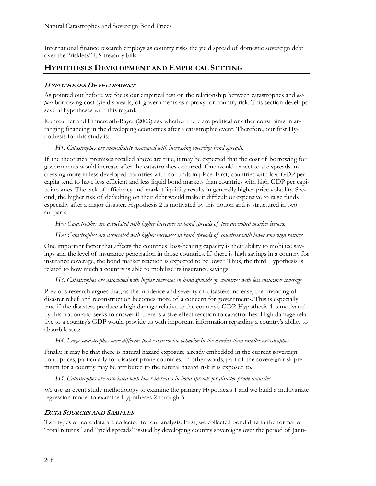International finance research employs as country risks the yield spread of domestic sovereign debt over the "riskless" US treasury bills.

# **HYPOTHESES DEVELOPMENT AND EMPIRICAL SETTING**

# HYPOTHESES DEVELOPMENT

As pointed out before, we focus our empirical test on the relationship between catastrophes and *expost* borrowing cost (yield spreads*)* of governments as a proxy for country risk. This section develops several hypotheses with this regard.

Kunreuther and Linnerooth-Bayer (2003) ask whether there are political or other constraints in arranging financing in the developing economies after a catastrophic event. Therefore, our first Hypothesis for this study is:

# *H1: Catastrophes are immediately associated with increasing sovereign bond spreads.*

If the theoretical premises recalled above are true, it may be expected that the cost of borrowing for governments would increase after the catastrophes occurred. One would expect to see spreads increasing more in less developed countries with no funds in place. First, countries with low GDP per capita tend to have less efficient and less liquid bond markets than countries with high GDP per capita incomes. The lack of efficiency and market liquidity results in generally higher price volatility. Second, the higher risk of defaulting on their debt would make it difficult or expensive to raise funds especially after a major disaster. Hypothesis 2 is motivated by this notion and is structured in two subparts:

# *H2a: Catastrophes are associated with higher increases in bond spreads of less developed market issuers.*

# *H2b: Catastrophes are associated with higher increases in bond spreads of countries with lower sovereign ratings.*

One important factor that affects the countries' loss-bearing capacity is their ability to mobilize savings and the level of insurance penetration in those countries. If there is high savings in a country for insurance coverage, the bond market reaction is expected to be lower. Thus, the third Hypothesis is related to how much a country is able to mobilize its insurance savings:

### *H3: Catastrophes are associated with higher increases in bond spreads of countries with less insurance coverage.*

Previous research argues that, as the incidence and severity of disasters increase, the financing of disaster relief and reconstruction becomes more of a concern for governments. This is especially true if the disasters produce a high damage relative to the country's GDP. Hypothesis 4 is motivated by this notion and seeks to answer if there is a size effect reaction to catastrophes. High damage relative to a country's GDP would provide us with important information regarding a country's ability to absorb losses:

### *H4: Large catastrophes have different post-catastrophic behavior in the market than smaller catastrophes.*

Finally, it may be that there is natural hazard exposure already embedded in the current sovereign bond prices, particularly for disaster-prone countries. In other words, part of the sovereign risk premium for a country may be attributed to the natural hazard risk it is exposed to.

### *H5: Catastrophes are associated with lower increases in bond spreads for disaster-prone countries.*

We use an event study methodology to examine the primary Hypothesis 1 and we build a multivariate regression model to examine Hypotheses 2 through 5.

# DATA SOURCES AND SAMPLES

Two types of core data are collected for our analysis. First, we collected bond data in the format of "total returns" and "yield spreads" issued by developing country sovereigns over the period of Janu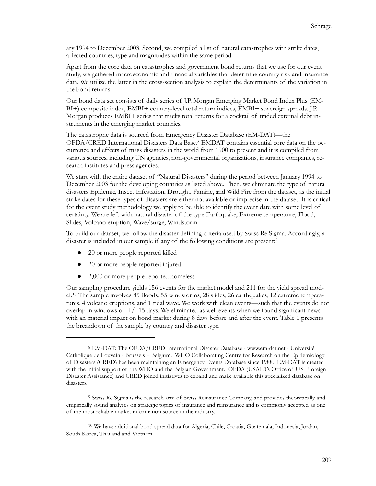ary 1994 to December 2003. Second, we compiled a list of natural catastrophes with strike dates, affected countries, type and magnitudes within the same period.

Apart from the core data on catastrophes and government bond returns that we use for our event study, we gathered macroeconomic and financial variables that determine country risk and insurance data. We utilize the latter in the cross-section analysis to explain the determinants of the variation in the bond returns.

Our bond data set consists of daily series of J.P. Morgan Emerging Market Bond Index Plus (EM-BI+) composite index, EMBI+ country-level total return indices, EMBI+ sovereign spreads. J.P. Morgan produces EMBI+ series that tracks total returns for a cocktail of traded external debt instruments in the emerging market countries.

The catastrophe data is sourced from Emergency Disaster Database (EM-DAT)—the OFDA/CRED International Disasters Data Base.[8](#page-8-0) EMDAT contains essential core data on the occurrence and effects of mass disasters in the world from 1900 to present and it is compiled from various sources, including UN agencies, non-governmental organizations, insurance companies, research institutes and press agencies.

We start with the entire dataset of "Natural Disasters" during the period between January 1994 to December 2003 for the developing countries as listed above. Then, we eliminate the type of natural disasters Epidemic, Insect Infestation, Drought, Famine, and Wild Fire from the dataset, as the initial strike dates for these types of disasters are either not available or imprecise in the dataset. It is critical for the event study methodology we apply to be able to identify the event date with some level of certainty. We are left with natural disaster of the type Earthquake, Extreme temperature, Flood, Slides, Volcano eruption, Wave/surge, Windstorm.

To build our dataset, we follow the disaster defining criteria used by Swiss Re Sigma. Accordingly, a disaster is included in our sample if any of the following conditions are present:[9](#page-8-1)

● 20 or more people reported killed

 $\overline{a}$ 

- 20 or more people reported injured
- 2,000 or more people reported homeless.

Our sampling procedure yields 156 events for the market model and 211 for the yield spread model.[10](#page-8-2) The sample involves 85 floods, 55 windstorms, 28 slides, 26 earthquakes, 12 extreme temperatures, 4 volcano eruptions, and 1 tidal wave. We work with clean events—such that the events do not overlap in windows of  $+/-15$  days. We eliminated as well events when we found significant news with an material impact on bond market during 8 days before and after the event. Table 1 presents the breakdown of the sample by country and disaster type.

<span id="page-8-0"></span><sup>8</sup> EM-DAT: The OFDA/CRED International Disaster Database - www.em-dat.net - Université Catholique de Louvain - Brussels – Belgium. WHO Collaborating Centre for Research on the Epidemiology of Disasters (CRED) has been maintaining an Emergency Events Database since 1988. EM-DAT is created with the initial support of the WHO and the Belgian Government. OFDA (USAID's Office of U.S. Foreign Disaster Assistance) and CRED joined initiatives to expand and make available this specialized database on disasters.

<span id="page-8-1"></span><sup>9</sup> Swiss Re Sigma is the research arm of Swiss Reinsurance Company, and provides theoretically and empirically sound analyses on strategic topics of insurance and reinsurance and is commonly accepted as one of the most reliable market information source in the industry.

<span id="page-8-2"></span><sup>10</sup> We have additional bond spread data for Algeria, Chile, Croatia, Guatemala, Indonesia, Jordan, South Korea, Thailand and Vietnam.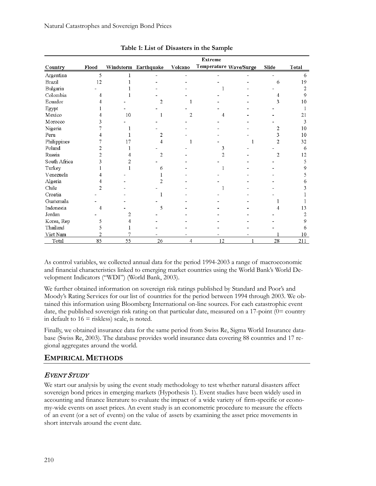|               |       |    |                      |         | <b>Extreme</b> |                        |                |       |
|---------------|-------|----|----------------------|---------|----------------|------------------------|----------------|-------|
| Country       | Flood |    | Windstorm Earthquake | Volcano |                | Temperature Wave/Surge | Slide          | Total |
| Argentina     | 5     |    |                      |         |                |                        |                | 6     |
| <b>Brazil</b> | 12    |    |                      |         |                |                        | 6              | 19    |
| Bulgaria      |       |    |                      |         |                |                        |                | 2     |
| Colombia      |       |    |                      |         |                |                        |                | 9     |
| Ecuador       |       |    | 2                    |         |                |                        |                | 10    |
| Egypt         |       |    |                      |         |                |                        |                |       |
| Mexico        |       | 10 |                      | 2       | 4              |                        |                | 21    |
| Morocco       |       |    |                      |         |                |                        |                | 3     |
| Nigeria       |       |    |                      |         |                |                        |                | 10    |
| Peru          |       |    | 2                    |         |                |                        |                | 10    |
| Philippines   |       | 17 | 4                    |         |                |                        | 2              | 32    |
| Poland        |       |    |                      |         |                |                        |                | 6     |
| Russia        | 2     |    | 2                    |         |                |                        | $\overline{2}$ | 12    |
| South Africa  |       |    |                      |         |                |                        |                | 5     |
| Turkey        |       |    | 6                    |         |                |                        |                | 9     |
| Venezuela     |       |    |                      |         |                |                        |                | 5     |
| Algeria       |       |    |                      |         |                |                        |                | 6     |
| Chile         |       |    |                      |         |                |                        |                |       |
| Croatia       |       |    |                      |         |                |                        |                |       |
| Guatemala     |       |    |                      |         |                |                        |                |       |
| Indonesia     | 4     |    | 5                    |         |                |                        |                | 13    |
| Jordan        |       |    |                      |         |                |                        |                | 2     |
| Korea, Rep    |       |    |                      |         |                |                        |                | 9     |
| Thailand      |       |    |                      |         |                |                        |                | 6     |
| Viet Nam      | 2     |    |                      |         |                |                        |                | 10    |
| Total         | 85    | 55 | 26                   | 4       | 12             |                        | 28             | 211   |

**Table 1: List of Disasters in the Sample**

As control variables, we collected annual data for the period 1994-2003 a range of macroeconomic and financial characteristics linked to emerging market countries using the World Bank's World Development Indicators ("WDI") (World Bank, 2003).

We further obtained information on sovereign risk ratings published by Standard and Poor's and Moody's Rating Services for our list of countries for the period between 1994 through 2003. We obtained this information using Bloomberg International on-line sources. For each catastrophic event date, the published sovereign risk rating on that particular date, measured on a 17-point (0= country in default to  $16 =$  riskless) scale, is noted.

Finally, we obtained insurance data for the same period from Swiss Re, Sigma World Insurance database (Swiss Re, 2003). The database provides world insurance data covering 88 countries and 17 regional aggregates around the world.

# **EMPIRICAL METHODS**

# EVENT STUDY

We start our analysis by using the event study methodology to test whether natural disasters affect sovereign bond prices in emerging markets (Hypothesis 1). Event studies have been widely used in accounting and finance literature to evaluate the impact of a wide variety of firm-specific or economy-wide events on asset prices. An event study is an econometric procedure to measure the effects of an event (or a set of events) on the value of assets by examining the asset price movements in short intervals around the event date.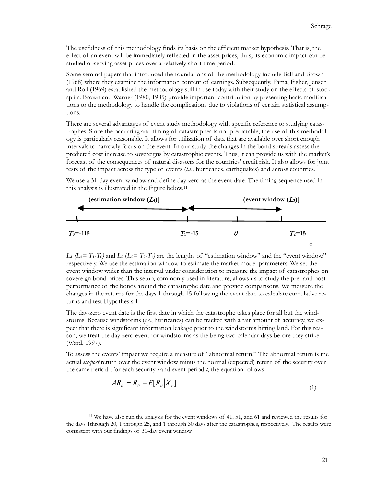The usefulness of this methodology finds its basis on the efficient market hypothesis. That is, the effect of an event will be immediately reflected in the asset prices, thus, its economic impact can be studied observing asset prices over a relatively short time period.

Some seminal papers that introduced the foundations of the methodology include Ball and Brown (1968) where they examine the information content of earnings. Subsequently, Fama, Fisher, Jensen and Roll (1969) established the methodology still in use today with their study on the effects of stock splits. Brown and Warner (1980, 1985) provide important contribution by presenting basic modifications to the methodology to handle the complications due to violations of certain statistical assumptions.

There are several advantages of event study methodology with specific reference to studying catastrophes. Since the occurring and timing of catastrophes is not predictable, the use of this methodology is particularly reasonable. It allows for utilization of data that are available over short enough intervals to narrowly focus on the event. In our study, the changes in the bond spreads assess the predicted cost increase to sovereigns by catastrophic events. Thus, it can provide us with the market's forecast of the consequences of natural disasters for the countries' credit risk. It also allows for joint tests of the impact across the type of events (*i.e.*, hurricanes, earthquakes) and across countries.

We use a 31-day event window and define day-zero as the event date. The timing sequence used in this analysis is illustrated in the Figure below.[11](#page-10-0)



 $L_1$   $(L_1 = T_1 - T_0)$  and  $L_2$   $(L_2 = T_2 - T_1)$  are the lengths of "estimation window" and the "event window," respectively. We use the estimation window to estimate the market model parameters. We set the event window wider than the interval under consideration to measure the impact of catastrophes on sovereign bond prices. This setup, commonly used in literature, allows us to study the pre- and postperformance of the bonds around the catastrophe date and provide comparisons. We measure the changes in the returns for the days 1 through 15 following the event date to calculate cumulative returns and test Hypothesis 1.

The day-zero event date is the first date in which the catastrophe takes place for all but the windstorms. Because windstorms (*i.e.*, hurricanes) can be tracked with a fair amount of accuracy, we expect that there is significant information leakage prior to the windstorms hitting land. For this reason, we treat the day-zero event for windstorms as the being two calendar days before they strike (Ward, 1997).

To assess the events' impact we require a measure of "abnormal return." The abnormal return is the actual *ex-post* return over the event window minus the normal (expected) return of the security over the same period. For each security *i* and event period *t*, the equation follows

$$
AR_{it} = R_{it} - E[R_{it}|X_t]
$$
\n<sup>(1)</sup>

<span id="page-10-0"></span><sup>11</sup> We have also run the analysis for the event windows of 41, 51, and 61 and reviewed the results for the days 1through 20, 1 through 25, and 1 through 30 days after the catastrophes, respectively. The results were consistent with our findings of 31-day event window.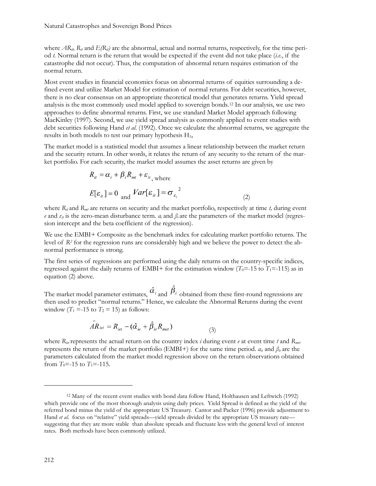#### Natural Catastrophes and Sovereign Bond Prices

where  $AR_{ii}$ ,  $R_{ii}$  and  $E(R_{ii})$  are the abnormal, actual and normal returns, respectively, for the time period *t.* Normal return is the return that would be expected if the event did not take place (*i.e.*, if the catastrophe did not occur). Thus, the computation of abnormal return requires estimation of the normal return.

Most event studies in financial economics focus on abnormal returns of equities surrounding a defined event and utilize Market Model for estimation of normal returns. For debt securities, however, there is no clear consensus on an appropriate theoretical model that generates returns. Yield spread analysis is the most commonly used model applied to sovereign bonds[.12](#page-11-0) In our analysis, we use two approaches to define abnormal returns. First, we use standard Market Model approach following MacKinley (1997). Second, we use yield spread analysis as commonly applied to event studies with debt securities following Hand *et al*. (1992). Once we calculate the abnormal returns, we aggregate the results in both models to test our primary hypothesis  $H_{1a}$ 

The market model is a statistical model that assumes a linear relationship between the market return and the security return. In other words, it relates the return of any security to the return of the market portfolio. For each security, the market model assumes the asset returns are given by

$$
R_{it} = \alpha_i + \beta_i R_{mt} + \varepsilon_{it},
$$
  

$$
E[\varepsilon_{it}] = 0 \text{ and } Var[\varepsilon_{it}] = \sigma_{\varepsilon_i}^2
$$
 (2)

where  $R_{it}$  and  $R_{mt}$  are returns on security and the market portfolio, respectively at time *t*, during event *e* and  $\varepsilon_{it}$  is the zero-mean disturbance term.  $a_i$  and  $\beta_i$  are the parameters of the market model (regression intercept and the beta coefficient of the regression).

We use the EMBI+ Composite as the benchmark index for calculating market portfolio returns. The level of *R2* for the regression runs are considerably high and we believe the power to detect the abnormal performance is strong.

The first series of regressions are performed using the daily returns on the country-specific indices, regressed against the daily returns of EMBI+ for the estimation window  $(T_0=15$  to  $T_1=-115$ ) as in equation (2) above.

The market model parameter estimates,  $\hat{a}_i$  and  $\hat{B}_i$  obtained from these first-round regressions are then used to predict "normal returns." Hence, we calculate the Abnormal Returns during the event window  $(T_1 = -15$  to  $T_2 = 15$ ) as follows:

$$
\hat{AR}_{\text{iet}} = R_{\text{iet}} - (\hat{\alpha}_{\text{ie}} + \hat{\beta}_{\text{ie}}R_{\text{met}})
$$
\n(3)

where  $R_{i\alpha}$  represents the actual return on the country index *i* during event *e* at event time *t* and  $R_{met}$ represents the return of the market portfolio (EMBI+) for the same time period. *αie* and *βie* are the parameters calculated from the market model regression above on the return observations obtained from  $T_0$ =-15 to  $T_1$ =-115.

<span id="page-11-0"></span><sup>12</sup> Many of the recent event studies with bond data follow Hand, Holthausen and Leftwich (1992) which provide one of the most thorough analysis using daily prices. Yield Spread is defined as the yield of the referred bond minus the yield of the appropriate US Treasury. Cantor and Packer (1996) provide adjustment to Hand *et al.* focus on "relative" yield spreads—yield spreads divided by the appropriate US treasury rate suggesting that they are more stable than absolute spreads and fluctuate less with the general level of interest rates. Both methods have been commonly utilized.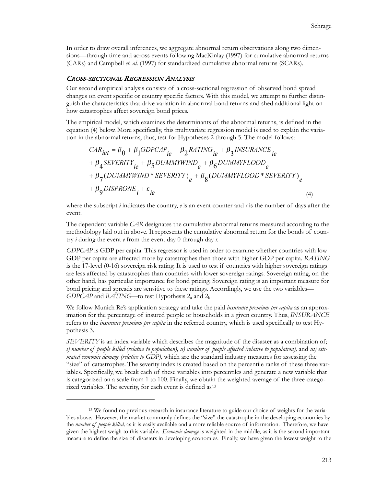In order to draw overall inferences, we aggregate abnormal return observations along two dimensions—through time and across events following MacKinlay (1997) for cumulative abnormal returns (CARs) and Campbell *et. al*. (1997) for standardized cumulative abnormal returns (SCARs).

#### CROSS-SECTIONAL REGRESSION ANALYSIS

 $\overline{a}$ 

Our second empirical analysis consists of a cross-sectional regression of observed bond spread changes on event specific or country specific factors. With this model, we attempt to further distinguish the characteristics that drive variation in abnormal bond returns and shed additional light on how catastrophes affect sovereign bond prices.

The empirical model, which examines the determinants of the abnormal returns, is defined in the equation (4) below. More specifically, this multivariate regression model is used to explain the variation in the abnormal returns, thus, test for Hypotheses 2 through 5. The model follows:

$$
CAR_{iet} = \beta_0 + \beta_1 GDPCAP_{te} + \beta_2 RATING_{ie} + \beta_3 INSURANCE_{te}
$$
  
+  $\beta_4 SEVERITY_{ie} + \beta_5 DUMMYWIND_e + \beta_6 DUMMYFLOOD_e$   
+  $\beta_7 (DUMMYWIND * SEVERITY)_e + \beta_8 (DUMMYFLOOD * SEVERITY)_e$   
+  $\beta_9 DISPRONE_i + \varepsilon_{ie}$  (4)

where the subscript *i* indicates the country, *e* is an event counter and *t* is the number of days after the event.

The dependent variable *CAR* designates the cumulative abnormal returns measured according to the methodology laid out in above. It represents the cumulative abnormal return for the bonds of country *i* during the event *e* from the event day 0 through day *t.* 

*GDPCAP* is GDP per capita. This regressor is used in order to examine whether countries with low GDP per capita are affected more by catastrophes then those with higher GDP per capita. *RATING*  is the 17-level (0-16) sovereign risk rating. It is used to test if countries with higher sovereign ratings are less affected by catastrophes than countries with lower sovereign ratings. Sovereign rating, on the other hand, has particular importance for bond pricing. Sovereign rating is an important measure for bond pricing and spreads are sensitive to these ratings. Accordingly, we use the two variables— *GDPCAP* and *RATING*—to test Hypothesis 2<sub>a</sub> and 2<sub>b</sub>.

We follow Munich Re's application strategy and take the paid *insurance premium per capita* as an approximation for the percentage of insured people or households in a given country. Thus, *INSURANCE*  refers to the *insurance premium per capita* in the referred country, which is used specifically to test Hypothesis 3.

*SEVERITY* is an index variable which describes the magnitude of the disaster as a combination of; *i*) number of people killed (relative to population), ii) number of people affected (relative to population), and *iii*) esti*mated economic damage (relative to GDP),* which are the standard industry measures for assessing the "size" of catastrophes. The severity index is created based on the percentile ranks of these three variables. Specifically, we break each of these variables into percentiles and generate a new variable that is categorized on a scale from 1 to 100. Finally, we obtain the weighted average of the three catego-rized variables. The severity, for each event is defined as<sup>[13](#page-12-0)</sup>

<span id="page-12-0"></span><sup>13</sup> We found no previous research in insurance literature to guide our choice of weights for the variables above. However, the market commonly defines the "size" the catastrophe in the developing economies by the *number of people killed,* as it is easily available and a more reliable source of information. Therefore, we have given the highest weigh to this variable. *Economic damage* is weighted in the middle, as it is the second important measure to define the size of disasters in developing economies. Finally, we have given the lowest weight to the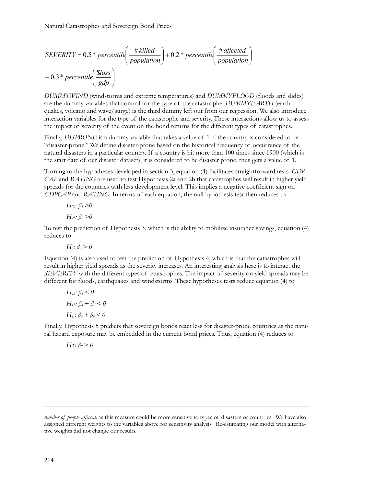$$
SEVERITY = 0.5 * percentile\left(\frac{\# killed}{population}\right) + 0.2 * percentile\left(\frac{\# affected}{population}\right) + 0.3 * percentile\left(\frac{\$loss}{gdp}\right)
$$

*DUMMYWIND* (windstorms and extreme temperatures) and *DUMMYFLOOD* (floods and slides) are the dummy variables that control for the type of the catastrophe. *DUMMYEARTH* (earthquakes, volcano and wave/surge) is the third dummy left out from our regression. We also introduce interaction variables for the type of the catastrophe and severity. These interactions allow us to assess the impact of severity of the event on the bond returns for the different types of catastrophes.

Finally, *DISPRONE* is a dummy variable that takes a value of 1 if the country is considered to be "disaster-prone." We define disaster-prone based on the historical frequency of occurrence of the natural disasters in a particular country. If a country is hit more than 100 times since 1900 (which is the start date of our disaster dataset), it is considered to be disaster prone, thus gets a value of 1.

Turning to the hypotheses developed in section 3, equation (4) facilitates straightforward tests. *GDP-CAP* and *RATING* are used to test Hypothesis 2a and 2b that catastrophes will result in higher yield spreads for the countries with less development level. This implies a negative coefficient sign on *GDPCAP* and *RATING.* In terms of each equation, the null hypothesis test then reduces to

$$
H_{2a}: \beta_1 > 0
$$
  

$$
H_{2b}: \beta_2 > 0
$$

To test the prediction of Hypothesis 3, which is the ability to mobilize insurance savings, equation (4) reduces to

*H<sub>3</sub>:*  $\beta$ <sub>3</sub> > 0

Equation (4) is also used to test the prediction of Hypothesis 4, which is that the catastrophes will result in higher yield spreads as the severity increases. An interesting analysis here is to interact the *SEVERITY* with the different types of catastrophes. The impact of severity on yield spreads may be different for floods, earthquakes and windstorms. These hypotheses tests reduce equation (4) to

$$
H_{4a}: \beta_4 < 0
$$
  
\n
$$
H_{4b}: \beta_4 + \beta_7 < 0
$$
  
\n
$$
H_{4c}: \beta_4 + \beta_8 < 0
$$

Finally, Hypothesis 5 predicts that sovereign bonds react less for disaster-prone countries as the natural hazard exposure may be embedded in the current bond prices. Thus, equation (4) reduces to

*H5:*  $β$ <sup>*9</sup>* > *0*</sup>

*number of people affected,* as this measure could be more sensitive to types of disasters or countries. We have also assigned different weights to the variables above for sensitivity analysis. Re-estimating our model with alternative weights did not change our results.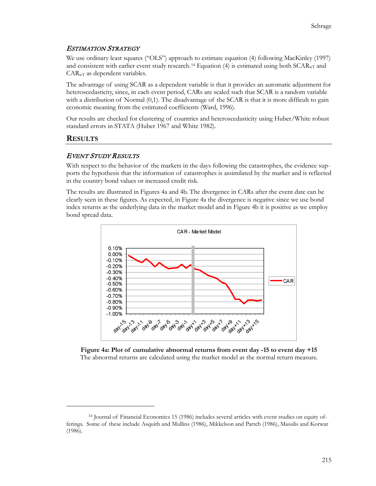# ESTIMATION STRATEGY

We use ordinary least squares ("OLS") approach to estimate equation (4) following MacKinley (1997) and consistent with earlier event study research.<sup>[14](#page-14-0)</sup> Equation (4) is estimated using both  $SCAR<sub>icT</sub>$  and CARieT as dependent variables.

The advantage of using SCAR as a dependent variable is that it provides an automatic adjustment for heteroscedasticity, since, in each event period, CARs are scaled such that SCAR is a random variable with a distribution of Normal  $(0,1)$ . The disadvantage of the SCAR is that it is more difficult to gain economic meaning from the estimated coefficients (Ward, 1996).

Our results are checked for clustering of countries and heteroscedasticity using Huber/White robust standard errors in STATA (Huber 1967 and White 1982).

# **RESULTS**

 $\overline{a}$ 

# EVENT STUDY RESULTS

With respect to the behavior of the markets in the days following the catastrophes, the evidence supports the hypothesis that the information of catastrophes is assimilated by the market and is reflected in the country bond values or increased credit risk.

The results are illustrated in Figures 4a and 4b. The divergence in CARs after the event date can be clearly seen in these figures. As expected, in Figure 4a the divergence is negative since we use bond index returns as the underlying data in the market model and in Figure 4b it is positive as we employ bond spread data.



**Figure 4a: Plot of cumulative abnormal returns from event day -15 to event day +15** The abnormal returns are calculated using the market model as the normal return measure.

<span id="page-14-0"></span><sup>14</sup> Journal of Financial Economics 15 (1986) includes several articles with event studies on equity offerings. Some of these include Asquith and Mullins (1986), Mikkelson and Partch (1986), Masulis and Korwar (1986).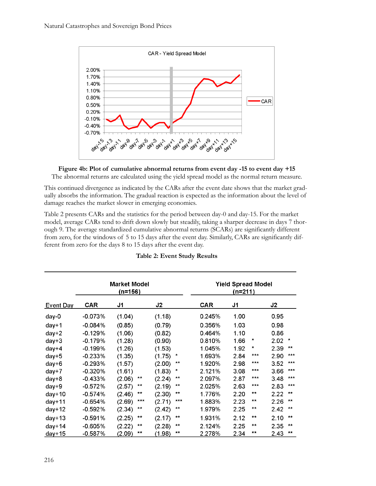

**Figure 4b: Plot of cumulative abnormal returns from event day -15 to event day +15** The abnormal returns are calculated using the yield spread model as the normal return measure.

This continued divergence as indicated by the CARs after the event date shows that the market gradually absorbs the information. The gradual reaction is expected as the information about the level of damage reaches the market slower in emerging economies.

Table 2 presents CARs and the statistics for the period between day-0 and day-15. For the market model, average CARs tend to drift down slowly but steadily, taking a sharper decrease in days 7 thorough 9. The average standardized cumulative abnormal returns (SCARs) are significantly different from zero, for the windows of 5 to 15 days after the event day. Similarly, CARs are significantly different from zero for the days 8 to 15 days after the event day.

|           | <b>Market Model</b><br>(n=156) |                 |                 |            | (n=211) | <b>Yield Spread Model</b>             |
|-----------|--------------------------------|-----------------|-----------------|------------|---------|---------------------------------------|
| Event Day | <b>CAR</b>                     | J1              | J2              | <b>CAR</b> | J1      | J2                                    |
| day-0     | $-0.073%$                      | (1.04)          | (1.18)          | 0.245%     | 1.00    | 0.95                                  |
| $day+1$   | $-0.084%$                      | (0.85)          | (0.79)          | 0.356%     | 1.03    | 0.98                                  |
| $day+2$   | $-0.129%$                      | (1.06)          | (0.82)          | 0.464%     | 1.10    | 0.86                                  |
| $day+3$   | $-0.179%$                      | (1.28)          | (0.90)          | 0.810%     | 1.66    | $^\ast$<br>2.02<br>$\ast$             |
| $day+4$   | $-0.199%$                      | (1.26)          | (1.53)          | 1.045%     | 1.92    | $\star$<br>$***$<br>2.39              |
| $day+5$   | $-0.233%$                      | (1.35)          | (1.75)<br>*     | 1.693%     | 2.84    | ***<br>***<br>2.90                    |
| $day+6$   | $-0.293%$                      | (1.57)          | $**$<br>(2.00)  | 1.920%     | 2.98    | $***$<br>$\times\times\times$<br>3.52 |
| $day+7$   | $-0.320%$                      | (1.61)          | *<br>(1.83)     | 2.121%     | 3.08    | $***$<br>$***$<br>3.66                |
| $day+8$   | $-0.433%$                      | $***$<br>(2.06) | $***$<br>(2.24) | 2.097%     | 2.87    | $***$<br>$***$<br>3.48                |
| $day+9$   | $-0.572%$                      | $***$<br>(2.57) | **<br>(2.19)    | 2.025%     | 2.63    | $***$<br>***<br>2.83                  |
| $day+10$  | $-0.574%$                      | $**$<br>(2.46)  | **<br>(2.30)    | 1.776%     | 2.20    | $**$<br>$**$<br>2.22                  |
| $day+11$  | $-0.654%$                      | ***<br>(2.69)   | ***<br>(2.71)   | 1.883%     | 2.23    | $**$<br>2.26<br>$\mathbf{x}$          |
| $day+12$  | $-0.592%$                      | $**$<br>(2.34)  | $***$<br>(2.42) | 1.979%     | 2.25    | $**$<br>$***$<br>2.42                 |
| $day+13$  | $-0.591%$                      | $***$<br>(2.25) | $**$<br>(2.17)  | 1.931%     | 2.12    | $**$<br>$**$<br>2.10                  |
| $day+14$  | $-0.605%$                      | $**$<br>(2.22)  | **<br>(2.28)    | 2.124%     | 2.25    | $**$<br>2.35<br>$***$                 |
| $day+15$  | $-0.587%$                      | $***$<br>(2.09) | **<br>(1.98)    | 2.278%     | 2.34    | $**$<br>$***$<br>2.43                 |

### **Table 2: Event Study Results**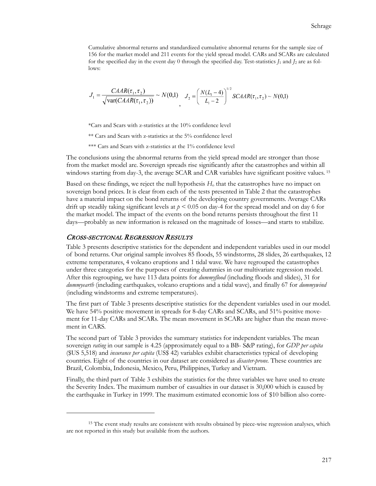Cumulative abnormal returns and standardized cumulative abnormal returns for the sample size of 156 for the market model and 211 events for the yield spread model. CARs and SCARs are calculated for the specified day in the event day 0 through the specified day. Test-statistics  $J_1$  and  $J_2$  are as follows:

$$
J_1 = \frac{CABA(\tau_1, \tau_2)}{\sqrt{\text{var}(CAAR(\tau_1, \tau_2))}} \sim N(0,1) \quad J_2 = \left(\frac{N(L_1 - 4)}{L_1 - 2}\right)^{1/2} SCAAR(\tau_1, \tau_2) \sim N(0,1)
$$

\*Cars and Scars with z-statistics at the 10% confidence level

\*\* Cars and Scars with z-statistics at the 5% confidence level

\*\*\* Cars and Scars with z-statistics at the 1% confidence level

The conclusions using the abnormal returns from the yield spread model are stronger than those from the market model are. Sovereign spreads rise significantly after the catastrophes and within all windows starting from day-3, the average SCAR and CAR variables have significant positive values. <sup>[15](#page-16-0)</sup>

Based on these findings, we reject the null hypothesis *H*<sup>o</sup> that the catastrophes have no impact on sovereign bond prices. It is clear from each of the tests presented in Table 2 that the catastrophes have a material impact on the bond returns of the developing country governments. Average CARs drift up steadily taking significant levels at  $p \le 0.05$  on day-4 for the spread model and on day 6 for the market model. The impact of the events on the bond returns persists throughout the first 11 days—probably as new information is released on the magnitude of losses—and starts to stabilize.

### CROSS-SECTIONAL REGRESSION RESULTS

 $\overline{a}$ 

Table 3 presents descriptive statistics for the dependent and independent variables used in our model of bond returns. Our original sample involves 85 floods, 55 windstorms, 28 slides, 26 earthquakes, 12 extreme temperatures, 4 volcano eruptions and 1 tidal wave. We have regrouped the catastrophes under three categories for the purposes of creating dummies in our multivariate regression model. After this regrouping, we have 113 data points for *dummyflood* (including floods and slides), 31 for *dummyearth* (including earthquakes, volcano eruptions and a tidal wave), and finally 67 for *dummywind* (including windstorms and extreme temperatures).

The first part of Table 3 presents descriptive statistics for the dependent variables used in our model. We have 54% positive movement in spreads for 8-day CARs and SCARs, and 51% positive movement for 11-day CARs and SCARs. The mean movement in SCARs are higher than the mean movement in CARS.

The second part of Table 3 provides the summary statistics for independent variables. The mean sovereign *rating* in our sample is 4.25 (approximately equal to a BB- S&P rating), for *GDP per capita*  (\$US 5,518) and *insurance per capita* (US\$ 42) variables exhibit characteristics typical of developing countries. Eight of the countries in our dataset are considered as *disaster-prone.* These countries are Brazil, Colombia, Indonesia, Mexico, Peru, Philippines, Turkey and Vietnam.

Finally, the third part of Table 3 exhibits the statistics for the three variables we have used to create the Severity Index. The maximum number of casualties in our dataset is 30,000 which is caused by the earthquake in Turkey in 1999. The maximum estimated economic loss of \$10 billion also corre-

<span id="page-16-0"></span><sup>&</sup>lt;sup>15</sup> The event study results are consistent with results obtained by piece-wise regression analyses, which are not reported in this study but available from the authors.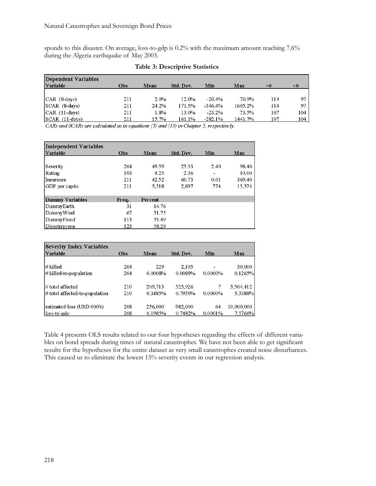sponds to this disaster. On average, loss-to-gdp is 0.2% with the maximum amount reaching 7.6% during the Algeria earthquake of May 2003.

| Dependent Variables |     |       |           |           |         |     |     |
|---------------------|-----|-------|-----------|-----------|---------|-----|-----|
| Variable            | Obs | Mean  | Std. Dev. | Min       | Max     | >0  | <0  |
|                     |     |       |           |           |         |     |     |
| $ CAR (8-days) $    | 211 | 2.0%  | 12.0%     | $-20.4%$  | 70.9%   | 114 | 97  |
| $ SCAR (8-davs) $   | 211 | 24.2% | 171.5%    | $-346.4%$ | 1605.2% | 114 | 97  |
| $ CAR (11-days) $   | 211 | 1.8%  | 13.0%     | $-23.2%$  | 73.5%   | 107 | 104 |
| $SCAR$ $(11$ -days) | 211 | 15.7% | 161.1%    | $-282.1%$ | 1441.7% | 107 | 104 |

### **Table 3: Descriptive Statistics**

CARs and SCARs are calculated as in equations (5) and (13) in Chapter 5, respectively.

| Independent Variables |       |         |           |                          |        |
|-----------------------|-------|---------|-----------|--------------------------|--------|
| Variable              | Obs   | Mean    | Std. Dev. | Min                      | Max    |
|                       |       |         |           |                          |        |
| Severity              | 204   | 49.59   | 25.33     | 2.40                     | 98.40  |
| Rating                | 193   | 4.25    | 2.36      | $\overline{\phantom{0}}$ | 10.00  |
| Insurance             | 211   | 42.52   | 60.73     | 0.01                     | 369.40 |
| GDP per capita        | 211   | 5.518   | 2.897     | 774                      | 15,574 |
|                       |       |         |           |                          |        |
| Dummy Variables       | Frea. | Percent |           |                          |        |
| DummyEarth            | 31    | 14.76   |           |                          |        |
| DummyWind             | 67    | 31.75   |           |                          |        |
| DummyFlood            | 113   | 53.49   |           |                          |        |
| Disasterprone         | 123   | 58.29   |           |                          |        |

| <b>Severity Index Variables</b>   |     |         |           |            |            |
|-----------------------------------|-----|---------|-----------|------------|------------|
| Variable                          | Obs | Mean    | Std. Dev. | Min        | Max        |
|                                   |     |         |           |            |            |
| # killed                          | 204 | 229     | 2,105     | ۰          | 30,000     |
| $\#$ killed-to-population         | 204 | 0.0008% | 0.0089%   | $0.0000\%$ | 0.1265%    |
| # total affected                  | 210 | 209,713 | 525,926   | 7.         | 3,504,412  |
| $\#$ total affected-to-population | 210 | 0.3485% | 0.7950%   | 0.0000%    | 5.3388%    |
| estimated loss (USD 000's)        | 208 | 256,000 | 982,000   | 64         | 10,000,000 |
| loss to-gdp                       | 208 | 0.1985% | 0.7482%   | 0.0001%    | 7.5766%    |

Table 4 presents OLS results related to our four hypotheses regarding the effects of different variables on bond spreads during times of natural catastrophes. We have not been able to get significant results for the hypotheses for the entire dataset as very small catastrophes created noise disturbances. This caused us to eliminate the lowest 15% severity events in our regression analysis.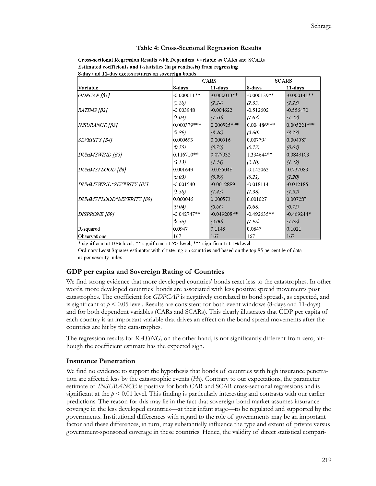#### **Table 4: Cross-Sectional Regression Results**

| Cross-sectional Regression Results with Dependent Variable as CARs and SCARs |
|------------------------------------------------------------------------------|
| Estimated coefficients and t-statistics (in parenthesis) from regressing     |
| 8-day and 11-day excess returns on sovereign bonds                           |

|                          |               | <b>CARS</b>   |               | <b>SCARS</b>  |
|--------------------------|---------------|---------------|---------------|---------------|
| Variable                 | 8-days        | 11-days       | 8-days        | 11-days       |
| $GDPCAP$ [ $\beta$ 1]    | $-0.000011**$ | $-0.000013**$ | $-0.000139**$ | $-0.000141**$ |
|                          | (2.28)        | (2.24)        | (2.35)        | (2.23)        |
| $RATING / \beta2$        | $-0.003948$   | $-0.004622$   | $-0.512602$   | $-0.556470$   |
|                          | (1.04)        | (1.10)        | (1.03)        | (1.22)        |
| <i>INSURANCE [β3]</i>    | 0.000379***   | $0.000525***$ | $0.004486***$ | $0.005224***$ |
|                          | (2.89)        | (3.46)        | (2.60)        | (3.23)        |
| SEVERITY [B4]            | 0.000693      | 0.000516      | 0.007794      | 0.004589      |
|                          | (0.75)        | (0.79)        | (0.73)        | (0.64)        |
| DUMMYWIND [β5]           | $0.116710**$  | 0.077032      | 1.334644**    | 0.0849103     |
|                          | (2.13)        | (1.44)        | (2.10)        | (1.42)        |
| DUMMYFLOOD [β6]          | 0.001649      | $-0.055048$   | $-0.142062$   | $-0.737083$   |
|                          | (0.03)        | (0.99)        | (0.21)        | (1.20)        |
| DUMMYWIND*SEVERITY [β7]  | $-0.001540$   | $-0.0012889$  | $-0.018114$   | $-0.012185$   |
|                          | (1.38)        | (1.43)        | (1.38)        | (1.52)        |
| DUMMYFLOOD*SEVERITY [β8] | 0.000046      | 0.000573      | 0.001027      | 0.007287      |
|                          | (0.04)        | (0.66)        | (0.08)        | (0.75)        |
| DISPRONE [β9]            | $-0.042747**$ | $-0.049208**$ | $-0.492635**$ | $-0.469244*$  |
|                          | (2.36)        | (2.00)        | (1.98)        | (1.68)        |
| R-squared                | 0.0947        | 0.1148        | 0.0847        | 0.1021        |
| Observations             | 167           | 167           | 167           | 167           |

\* significant at 10% level, \*\* significant at 5% level, \*\*\* significant at 1% level

Ordinary Least Squares estimator with clustering on countries and based on the top 85 percentile of data as per severity index

# **GDP per capita and Sovereign Rating of Countries**

We find strong evidence that more developed countries' bonds react less to the catastrophes. In other words, more developed countries' bonds are associated with less positive spread movements post catastrophes. The coefficient for *GDPCAP* is negatively correlated to bond spreads, as expected, and is significant at  $p \le 0.05$  level. Results are consistent for both event windows (8-days and 11-days) and for both dependent variables (CARs and SCARs). This clearly illustrates that GDP per capita of each country is an important variable that drives an effect on the bond spread movements after the countries are hit by the catastrophes.

The regression results for *RATING,* on the other hand, is not significantly different from zero, although the coefficient estimate has the expected sign.

# **Insurance Penetration**

We find no evidence to support the hypothesis that bonds of countries with high insurance penetration are affected less by the catastrophic events (*H*3). Contrary to our expectations, the parameter estimate of *INSURANCE* is positive for both CAR and SCAR cross-sectional regressions and is significant at the  $p < 0.01$  level. This finding is particularly interesting and contrasts with our earlier predictions. The reason for this may lie in the fact that sovereign bond market assumes insurance coverage in the less developed countries—at their infant stage—to be regulated and supported by the governments. Institutional differences with regard to the role of governments may be an important factor and these differences, in turn, may substantially influence the type and extent of private versus government-sponsored coverage in these countries. Hence, the validity of direct statistical compari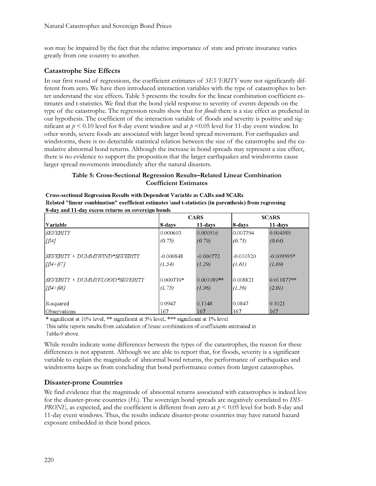son may be impaired by the fact that the relative importance of state and private insurance varies greatly from one country to another.

# **Catastrophe Size Effects**

In our first round of regressions, the coefficient estimates of *SEVERITY* were not significantly different from zero. We have then introduced interaction variables with the type of catastrophes to better understand the size effects. Table 5 presents the results for the linear combination coefficient estimates and t-statistics. We find that the bond yield response to severity of events depends on the type of the catastrophe. The regression results show that for *floods* there is a size effect as predicted in our hypothesis. The coefficient of the interaction variable of floods and severity is positive and significant at *p* < 0.10 level for 8-day event window and at *p* <0.05 level for 11-day event window. In other words, severe foods are associated with larger bond spread movement. For earthquakes and windstorms, there is no detectable statistical relation between the size of the catastrophe and the cumulative abnormal bond returns. Although the increase in bond spreads may represent a size effect, there is no evidence to support the proposition that the larger earthquakes and windstorms cause larger spread movements immediately after the natural disasters.

# **Table 5: Cross-Sectional Regression Results–Related Linear Combination Coefficient Estimates**

|                                                                                 |                       | <b>CARS</b>           |                       | <b>SCARS</b>           |
|---------------------------------------------------------------------------------|-----------------------|-----------------------|-----------------------|------------------------|
| Variable                                                                        | 8-davs                | 11-days               | 8-days                | 11-davs                |
| <i>SEVERITY</i>                                                                 | 0.000693              | 0.000516              | 0.007794              | 0.004589               |
| $\sqrt{\beta}$ 47                                                               | (0.75)                | (0.79)                | (0.73)                | (0.64)                 |
| SEVERITY + DUMMYWIND*SEVERITY<br>$\left[\frac{\beta 4 + \beta 7}{\beta}\right]$ | $-0.000848$<br>(1.54) | $-0.000772$<br>(1.29) | $-0.010320$<br>(1.61) | $-0.009595*$<br>(1.69) |
| SEVERITY + DUMMYFLOOD*SEVERITY                                                  | 0.000739*             | $0.001089**$          | 0.008821              | $0.011877**$           |
| $\left[\sqrt{\beta 4} + \beta 8\right]$                                         | (1.75)                | (1.96)                | (1.56)                | (2.01)                 |
| R-squared                                                                       | 0.0947                | 0.1148                | 0.0847                | 0.1021                 |
| <b>Observations</b>                                                             | 167                   | 167                   | 167                   | 167                    |

| <b>Cross-sectional Regression Results with Dependent Variable as CARs and SCARs</b>                   |
|-------------------------------------------------------------------------------------------------------|
| Related "linear combination" coefficient estimates \and t-statistics (in parenthesis) from regressing |
| 8-day and 11-day excess returns on sovereign bonds                                                    |

\* significant at 10% level, \*\* significant at 5% level, \*\*\* significant at 1% level

This table reports results from calculation of linear combinations of coefficients estimated in Table-9 above.

While results indicate some differences between the types of the catastrophes, the reason for these differences is not apparent. Although we are able to report that, for floods, severity is a significant variable to explain the magnitude of abnormal bond returns, the performance of earthquakes and windstorms keeps us from concluding that bond performance comes from largest catastrophes.

# **Disaster-prone Countries**

We find evidence that the magnitude of abnormal returns associated with catastrophes is indeed less for the disaster-prone countries (*H*5). The sovereign bond spreads are negatively correlated to *DIS-PRONE,* as expected, and the coefficient is different from zero at *p* < 0.05 level for both 8-day and 11-day event windows. Thus, the results indicate disaster-prone countries may have natural hazard exposure embedded in their bond prices.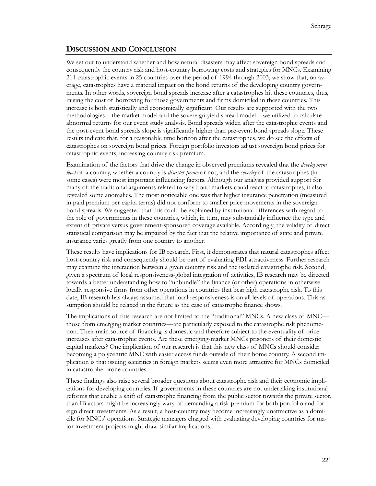# **DISCUSSION AND CONCLUSION**

We set out to understand whether and how natural disasters may affect sovereign bond spreads and consequently the country risk and host-country borrowing costs and strategies for MNCs. Examining 211 catastrophic events in 25 countries over the period of 1994 through 2003, we show that, on average, catastrophes have a material impact on the bond returns of the developing country governments. In other words, sovereign bond spreads increase after a catastrophes hit these countries, thus, raising the cost of borrowing for those governments and firms domiciled in these countries. This increase is both statistically and economically significant. Our results are supported with the two methodologies—the market model and the sovereign yield spread model—we utilized to calculate abnormal returns for our event study analysis. Bond spreads widen after the catastrophic events and the post-event bond spreads slope is significantly higher than pre-event bond spreads slope. These results indicate that, for a reasonable time horizon after the catastrophes, we do see the effects of catastrophes on sovereign bond prices. Foreign portfolio investors adjust sovereign bond prices for catastrophic events, increasing country risk premium.

Examination of the factors that drive the change in observed premiums revealed that the *development level* of a country, whether a country is *disaster-prone* or not, and the *severity* of the catastrophes (in some cases) were most important influencing factors. Although our analysis provided support for many of the traditional arguments related to why bond markets could react to catastrophes, it also revealed some anomalies. The most noticeable one was that higher insurance penetration (measured in paid premium per capita terms) did not conform to smaller price movements in the sovereign bond spreads. We suggested that this could be explained by institutional differences with regard to the role of governments in these countries, which, in turn, may substantially influence the type and extent of private versus government-sponsored coverage available. Accordingly, the validity of direct statistical comparison may be impaired by the fact that the relative importance of state and private insurance varies greatly from one country to another.

These results have implications for IB research. First, it demonstrates that natural catastrophes affect host-country risk and consequently should be part of evaluating FDI attractiveness. Further research may examine the interaction between a given country risk and the isolated catastrophe risk. Second, given a spectrum of local responsiveness-global integration of activities, IB research may be directed towards a better understanding how to "unbundle" the finance (or other) operations in otherwise locally responsive firms from other operations in countries that bear high catastrophe risk. To this date, IB research has always assumed that local responsiveness is on all levels of operations. This assumption should be relaxed in the future as the case of catastrophe finance shows.

The implications of this research are not limited to the "traditional" MNCs. A new class of MNC those from emerging market countries—are particularly exposed to the catastrophe risk phenomenon. Their main source of financing is domestic and therefore subject to the eventuality of price increases after catastrophic events. Are these emerging-market MNCs prisoners of their domestic capital markets? One implication of our research is that this new class of MNCs should consider becoming a polycentric MNC with easier access funds outside of their home country. A second implication is that issuing securities in foreign markets seems even more attractive for MNCs domiciled in catastrophe-prone countries.

These findings also raise several broader questions about catastrophe risk and their economic implications for developing countries. If governments in these countries are not undertaking institutional reforms that enable a shift of catastrophe financing from the public sector towards the private sector, than IB actors might be increasingly wary of demanding a risk premium for both portfolio and foreign direct investments. As a result, a host-country may become increasingly unattractive as a domicile for MNCs' operations. Strategic managers charged with evaluating developing countries for major investment projects might draw similar implications.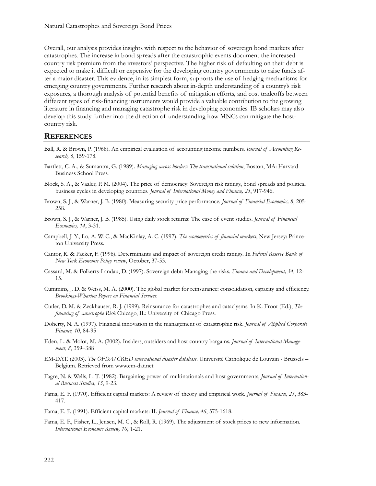Overall, our analysis provides insights with respect to the behavior of sovereign bond markets after catastrophes. The increase in bond spreads after the catastrophic events document the increased country risk premium from the investors' perspective. The higher risk of defaulting on their debt is expected to make it difficult or expensive for the developing country governments to raise funds after a major disaster. This evidence, in its simplest form, supports the use of hedging mechanisms for emerging country governments. Further research about in-depth understanding of a country's risk exposures, a thorough analysis of potential benefits of mitigation efforts, and cost tradeoffs between different types of risk-financing instruments would provide a valuable contribution to the growing literature in financing and managing catastrophe risk in developing economies. IB scholars may also develop this study further into the direction of understanding how MNCs can mitigate the hostcountry risk.

# **REFERENCES**

- Ball, R. & Brown, P. (1968). An empirical evaluation of accounting income numbers. *Journal of Accounting Research, 6*, 159-178.
- Bartlett, C. A., & Sumantra, G. (1989). *Managing across borders: The transnational solution*, Boston, MA: Harvard Business School Press.
- Block, S. A., & Vaaler, P. M. (2004). The price of democracy: Sovereign risk ratings, bond spreads and political business cycles in developing countries. *Journal of International Money and Finance, 23*, 917-946.
- Brown, S. J., & Warner, J. B. (1980). Measuring security price performance. *Journal of Financial Economics, 8*, 205- 258.
- Brown, S. J., & Warner, J. B. (1985). Using daily stock returns: The case of event studies. *Journal of Financial Economics, 14*, 3-31.
- Campbell, J. Y., Lo, A. W. C., & MacKinlay, A. C. (1997). *The econometrics of financial markets*, New Jersey: Princeton University Press.
- Cantor, R. & Packer, F. (1996). Determinants and impact of sovereign credit ratings. In *Federal Reserve Bank of New York Economic Policy review*, October, 37-53.
- Cassard, M. & Folkerts-Landau, D. (1997). Sovereign debt: Managing the risks. *Finance and Development, 34,* 12- 15.
- Cummins, J. D. & Weiss, M. A. (2000). The global market for reinsurance: consolidation, capacity and efficiency. *Brookings-Wharton Papers on Financial Services*.
- Cutler, D. M. & Zeckhauser, R. J. (1999). Reinsurance for catastrophes and cataclysms. In K. Froot (Ed.), *The financing of catastrophe Risk* Chicago, IL: University of Chicago Press.
- Doherty, N. A. (1997). Financial innovation in the management of catastrophic risk. *Journal of Applied Corporate Finance, 10*, 84-95
- Eden, L. & Molot, M. A. (2002). Insiders, outsiders and host country bargains. *Journal of International Management*, *8*, 359–388
- EM-DAT. (2003). *The OFDA/CRED international disaster database*. Université Catholique de Louvain Brussels Belgium. Retrieved fro[m www.em](http://www.em-dat.net/)-dat.net
- Fagre, N. & Wells, L. T. (1982). Bargaining power of multinationals and host governments, *Journal of International Business Studies*, *13*, 9-23.
- Fama, E. F. (1970). Efficient capital markets: A review of theory and empirical work. *Journal of Finance, 25*, 383- 417.
- Fama, E. F. (1991). Efficient capital markets: II. *Journal of Finance, 46*, 575-1618.
- Fama, E. F., Fisher, L., Jensen, M. C., & Roll, R. (1969). The adjustment of stock prices to new information. *International Economic Review, 10*, 1-21.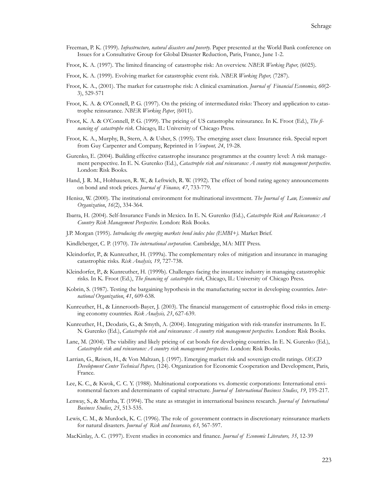- Freeman, P. K. (1999). *Infrastructure, natural disasters and poverty.* Paper presented at the World Bank conference on Issues for a Consultative Group for Global Disaster Reduction, Paris, France, June 1-2.
- Froot, K. A. (1997). The limited financing of catastrophe risk: An overview. *NBER Working Paper,* (6025).
- Froot, K. A. (1999). Evolving market for catastrophic event risk. *NBER Working Paper,* (7287).
- Froot, K. A., (2001). The market for catastrophe risk: A clinical examination. *Journal of Financial Economics, 60*(2- 3), 529-571
- Froot, K. A. & O'Connell, P. G. (1997). On the pricing of intermediated risks: Theory and application to catastrophe reinsurance. *NBER Working Paper*, (6011).
- Froot, K. A. & O'Connell, P. G. (1999). The pricing of US catastrophe reinsurance. In K. Froot (Ed.), *The financing of catastrophe risk*. Chicago, IL: University of Chicago Press.
- Froot, K. A., Murphy, B., Stern, A. & Usher, S. (1995). The emerging asset class: Insurance risk. Special report from Guy Carpenter and Company, Reprinted in *Viewpont, 24*, 19-28.
- Gurenko, E. (2004). Building effective catastrophe insurance programmes at the country level: A risk management perspective. In E. N. Gurenko (Ed.), *Catastrophe risk and reinsurance: A country risk management perspective.*  London: Risk Books.
- Hand, J. R. M., Holthausen, R. W., & Leftwich, R. W. (1992). The effect of bond rating agency announcements on bond and stock prices. *Journal of Finance, 47*, 733-779.
- Henisz, W. (2000). The institutional environment for multinational investment. *The Journal of Law, Economics and Organization*, *16*(2), 334-364.
- Ibarra, H. (2004). Self-Insurance Funds in Mexico. In E. N. Gurenko (Ed.), *Catastrophe Risk and Reinsurance: A Country Risk Management Perspective.* London: Risk Books.
- J.P. Morgan (1995). *Introducing the emerging markets bond index plus (EMBI+).* Market Brief.
- Kindleberger, C. P. (1970). *The international corporation.* Cambridge, MA: MIT Press.
- Kleindorfer, P., & Kunreuther, H. (1999a). The complementary roles of mitigation and insurance in managing catastrophic risks. *Risk Analysis, 19*, 727-738.
- Kleindorfer, P., & Kunreuther, H. (1999b). Challenges facing the insurance industry in managing catastrophic risks. In K. Froot (Ed.), *The financing of catastrophe risk*, Chicago, IL: University of Chicago Press.
- Kobrin, S. (1987). Testing the bargaining hypothesis in the manufacturing sector in developing countries. *International Organization*, *41*, 609-638.
- Kunreuther, H., & Linnerooth-Bayer, J. (2003). The financial management of catastrophic flood risks in emerging economy countries. *Risk Analysis, 23*, 627-639.
- Kunreuther, H., Deodatis, G., & Smyth, A. (2004). Integrating mitigation with risk-transfer instruments. In E. N. Gurenko (Ed.), *Catastrophe risk and reinsurance: A country risk management perspective*. London: Risk Books.
- Lane, M. (2004). The viability and likely pricing of cat bonds for developing countries. In E. N. Gurenko (Ed.), *Catastrophe risk and reinsurance: A country risk management perspective.* London: Risk Books.
- Larrian, G., Reisen, H., & Von Maltzan, J. (1997). Emerging market risk and sovereign credit ratings. *OECD Development Center Technical Papers,* (124). Organization for Economic Cooperation and Development, Paris, France.
- Lee, K. C., & Kwok, C. C. Y. (1988). Multinational corporations vs. domestic corporations: International environmental factors and determinants of capital structure. *Journal of International Business Studies*, *19*, 195-217.
- Lenway, S., & Murtha, T. (1994). The state as strategist in international business research. *Journal of International Business Studies*, *25*, 513-535.
- Lewis, C. M., & Murdock, K. C. (1996). The role of government contracts in discretionary reinsurance markets for natural disasters. *Journal of Risk and Insurance, 63*, 567-597.
- MacKinlay, A. C. (1997). Event studies in economics and finance. *Journal of Economic Literature, 35*, 12-39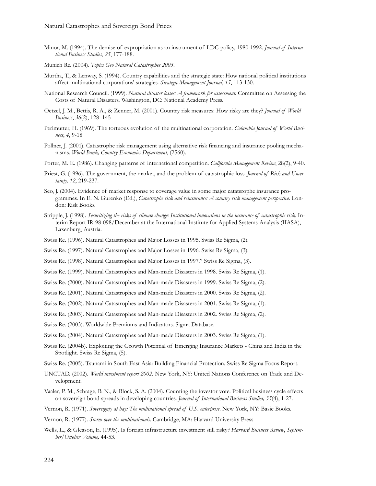- Minor, M. (1994). The demise of expropriation as an instrument of LDC policy, 1980-1992. *Journal of International Business Studies*, *25*, 177-188.
- Munich Re. (2004). *Topics Geo Natural Catastrophes 2003*.
- Murtha, T., & Lenway, S. (1994). Country capabilities and the strategic state: How national political institutions affect multinational corporations' strategies. *Strategic Management Journal*, *15*, 113-130.
- National Research Council. (1999). *Natural disaster losses: A framework for assessment.* Committee on Assessing the Costs of Natural Disasters. Washington, DC: National Academy Press.
- Oetzel, J. M., Bettis, R. A., & Zenner, M. (2001). Country risk measures: How risky are they? *Journal of World Business*, *36*(2), 128–145
- Perlmutter, H. (1969). The tortuous evolution of the multinational corporation. *Columbia Journal of World Business*, *4*, 9-18
- Pollner, J. (2001). Catastrophe risk management using alternative risk financing and insurance pooling mechanisms. *World Bank, Country Economics Department*, (2560).
- Porter, M. E. (1986). Changing patterns of international competition. *California Management Review*, 28(2), 9-40.
- Priest, G. (1996). The government, the market, and the problem of catastrophic loss. *Journal of Risk and Uncertainty, 12*, 219-237.
- Seo, J. (2004). Evidence of market response to coverage value in some major catatsrophe insurance programmes. In E. N. Gurenko (Ed.), *Catastrophe risk and reinsurance: A country risk management perspective*. London: Risk Books.
- Stripple, J. (1998). *Securitizing the risks of climate change: Institutional innovations in the insurance of catastrophic risk.* Interim Report IR-98-098/December at the International Institute for Applied Systems Analysis (IIASA), Laxenburg, Austria.
- Swiss Re. (1996). Natural Catastrophes and Major Losses in 1995. Swiss Re Sigma, (2).
- Swiss Re. (1997). Natural Catastrophes and Major Losses in 1996. Swiss Re Sigma, (3).
- Swiss Re. (1998). Natural Catastrophes and Major Losses in 1997." Swiss Re Sigma, (3).
- Swiss Re. (1999). Natural Catastrophes and Man-made Disasters in 1998. Swiss Re Sigma, (1).
- Swiss Re. (2000). Natural Catastrophes and Man-made Disasters in 1999. Swiss Re Sigma, (2).
- Swiss Re. (2001). Natural Catastrophes and Man-made Disasters in 2000. Swiss Re Sigma, (2).
- Swiss Re. (2002). Natural Catastrophes and Man-made Disasters in 2001. Swiss Re Sigma, (1).
- Swiss Re. (2003). Natural Catastrophes and Man-made Disasters in 2002. Swiss Re Sigma, (2).
- Swiss Re. (2003). Worldwide Premiums and Indicators. Sigma Database.
- Swiss Re. (2004). Natural Catastrophes and Man-made Disasters in 2003. Swiss Re Sigma, (1).
- Swiss Re. (2004b). Exploiting the Growth Potential of Emerging Insurance Markets China and India in the Spotlight. Swiss Re Sigma, (5).
- Swiss Re. (2005). Tsunami in South East Asia: Building Financial Protection. Swiss Re Sigma Focus Report.
- UNCTAD. (2002). *World investment report 2002*. New York, NY: United Nations Conference on Trade and Development.
- Vaaler, P. M., Schrage, B. N., & Block, S. A. (2004). Counting the investor vote: Political business cycle effects on sovereign bond spreads in developing countries. *Journal of International Business Studies, 35*(4), 1-27.
- Vernon, R. (1971). *Sovereignty at bay: The multinational spread of U.S. enterprise*. New York, NY: Basic Books.
- Vernon, R. (1977). *Storm over the multinationals*. Cambridge, MA: Harvard University Press
- Wells, L., & Gleason, E. (1995). Is foreign infrastructure investment still risky? *Harvard Business Review*, *September/October Volume,* 44-53.